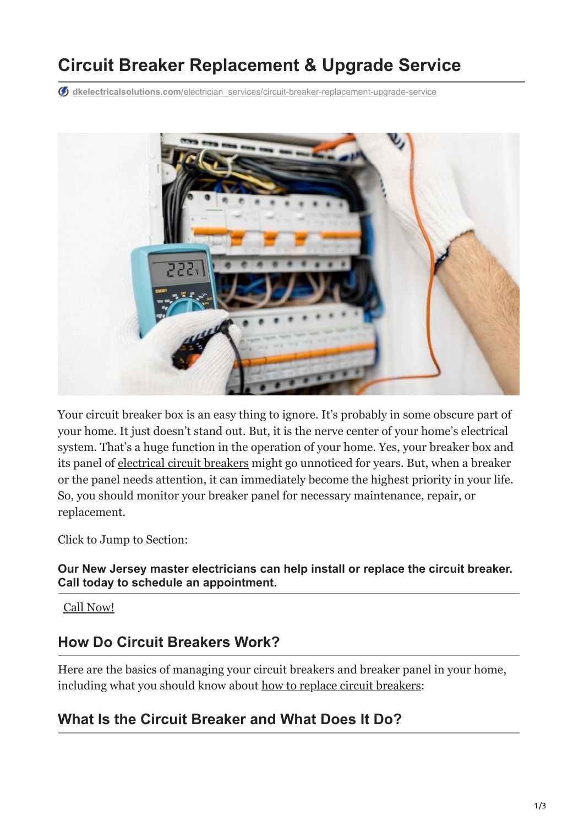# **Circuit Breaker Replacement & Upgrade Service**

**db** dkelectricalsolutions.com[/electrician\\_services/circuit-breaker-replacement-upgrade-service](https://dkelectricalsolutions.com/electrician_services/circuit-breaker-replacement-upgrade-service/)



Your circuit breaker box is an easy thing to ignore. It's probably in some obscure part of your home. It just doesn't stand out. But, it is the nerve center of your home's electrical system. That's a huge function in the operation of your home. Yes, your breaker box and its panel of [electrical circuit breakers](https://dkelectricalsolutions.com/top-5-most-common-electrical-issues-in-your-home-in-new-jersey/) might go unnoticed for years. But, when a breaker or the panel needs attention, it can immediately become the highest priority in your life. So, you should monitor your breaker panel for necessary maintenance, repair, or replacement.

Click to Jump to Section:

**Our New Jersey master electricians can help install or replace the circuit breaker. Call today to schedule an appointment.**

[Call Now!](tel:+16096045325)

#### **How Do Circuit Breakers Work?**

Here are the basics of managing your circuit breakers and breaker panel in your home, including what you should know about [how to replace circuit breakers](https://dkelectricalsolutions.com/residential-electrician-services/):

#### **What Is the Circuit Breaker and What Does It Do?**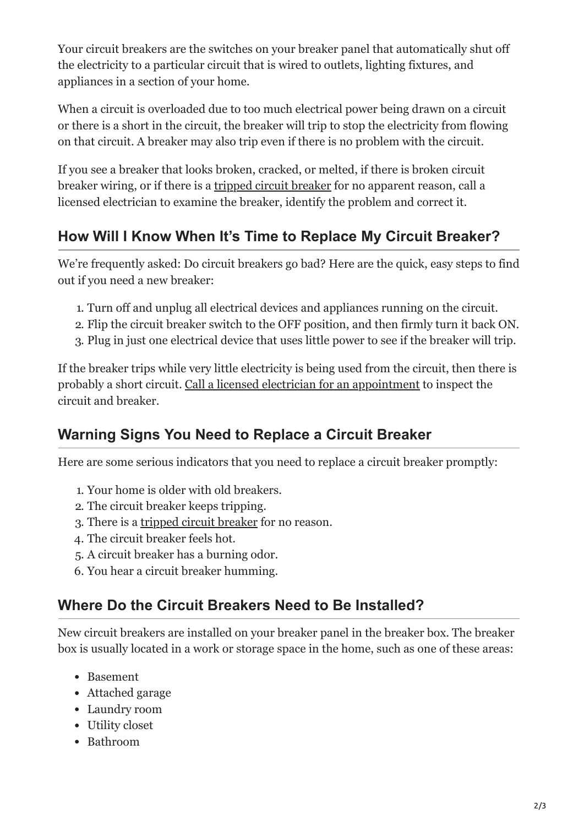Your circuit breakers are the switches on your breaker panel that automatically shut off the electricity to a particular circuit that is wired to outlets, lighting fixtures, and appliances in a section of your home.

When a circuit is overloaded due to too much electrical power being drawn on a circuit or there is a short in the circuit, the breaker will trip to stop the electricity from flowing on that circuit. A breaker may also trip even if there is no problem with the circuit.

If you see a breaker that looks broken, cracked, or melted, if there is broken circuit breaker wiring, or if there is a [tripped circuit breaker](https://dkelectricalsolutions.com/4-frequent-electrical-problems-during-winter/) for no apparent reason, call a licensed electrician to examine the breaker, identify the problem and correct it.

### **How Will I Know When It's Time to Replace My Circuit Breaker?**

We're frequently asked: Do circuit breakers go bad? Here are the quick, easy steps to find out if you need a new breaker:

- 1. Turn off and unplug all electrical devices and appliances running on the circuit.
- 2. Flip the circuit breaker switch to the OFF position, and then firmly turn it back ON.
- 3. Plug in just one electrical device that uses little power to see if the breaker will trip.

If the breaker trips while very little electricity is being used from the circuit, then there is probably a short circuit. [Call a licensed electrician for an appointment](https://dkelectricalsolutions.com/electrical-panel-service-upgrades/) to inspect the circuit and breaker.

#### **Warning Signs You Need to Replace a Circuit Breaker**

Here are some serious indicators that you need to replace a circuit breaker promptly:

- 1. Your home is older with old breakers.
- 2. The circuit breaker keeps tripping.
- 3. There is a [tripped circuit breaker](https://dkelectricalsolutions.com/how-to-avoid-common-wintertime-electrical-problems/) for no reason.
- 4. The circuit breaker feels hot.
- 5. A circuit breaker has a burning odor.
- 6. You hear a circuit breaker humming.

#### **Where Do the Circuit Breakers Need to Be Installed?**

New circuit breakers are installed on your breaker panel in the breaker box. The breaker box is usually located in a work or storage space in the home, such as one of these areas:

- Basement
- Attached garage
- Laundry room
- Utility closet
- Bathroom